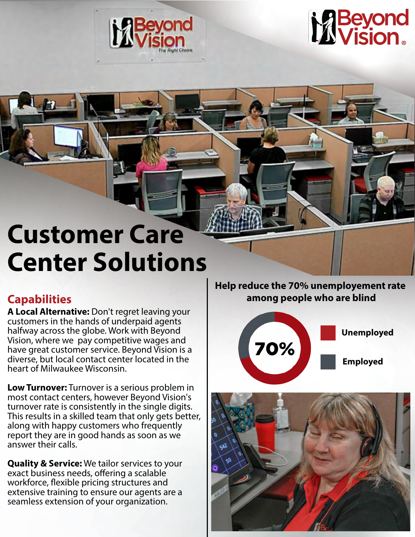



# **Customer Care Center Solutions**

**A Local Alternative:** Don't regret leaving your customers in the hands of underpaid agents halfway across the globe. Work with Beyond Vision, where we pay competitive wages and have great customer service. Beyond Vision is a diverse, but local contact center located in the heart of Milwaukee Wisconsin.

**Low Turnover:** Turnover is a serious problem in most contact centers, however Beyond Vision's turnover rate is consistently in the single digits. This results in a skilled team that only gets better, along with happy customers who frequently report they are in good hands as soon as we answer their calls.

**Quality & Service:** We tailor services to your exact business needs, offering a scalable workforce, flexible pricing structures and extensive training to ensure our agents are a seamless extension of your organization.

**Help reduce the 70% unemployement rate Capabilities among people who are blind**